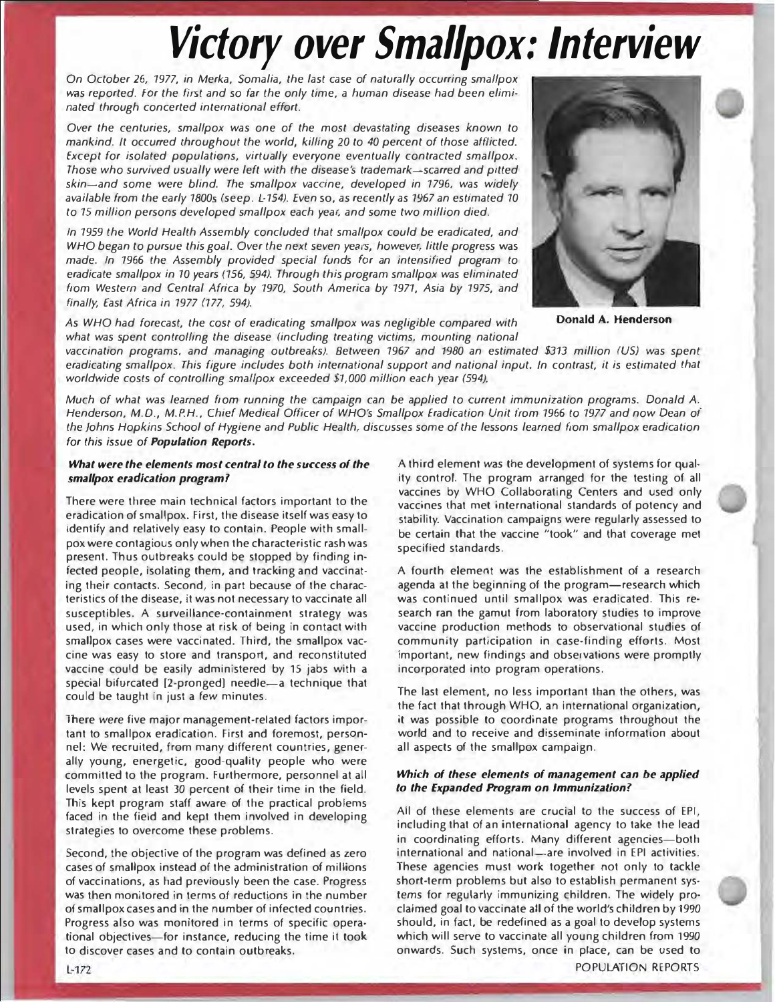# Victory over Smallpox: Interview

On October 26, 1977, in Merka, Somalia, the last case of naturally occurring smallpox was reported. For the first and so far the only time, a human disease had been eliminated through concerted international effort.

Over the centuries, smallpox was one of the most devastating diseases known to mankind. It occurred throughout the world, killing 20 to 40 percent of those afflicted. Except for isolated populations, virtually everyone eventually contracted smallpox. Those who survived usually were left with the disease's trademark-scarred and pitted skin-and some were blind. The smallpox vaccine, developed in 1796, was widely available from the early 1800s (seep. L-154). Even so, as recently as 1967 an estimated 10 to 15 million persons developed smallpox each year, and some two million died.

In 1959 the World Health Assembly concluded that smallpox could be eradicated, and WHO began to pursue this goal. Over the next seven years, however, little progress was made. In 1966 the Assembly provided special funds for an intensified program to eradicate smallpox in 70 years (156, 594), Through this program smallpox was eliminated from Western and Central Africa by 1970, South America by 1971, Asia by 1975, and finally, East Africa in 1977 (177, 594).

As WHO had forecast, the cost of eradicating smallpox was negligible compared with what was spent controlling the disease (including treating victims, mounting national

vaccination programs, and managing outbreaks). Between 1967 and 1980 an estimated \$313 million (US) was spent eradicating smallpox. This figure includes both international support and national input. In contrast, it is estimated that worldwide costs of controlling smallpox exceeded \$1,000 million each year (594).

Much of what was learned from running the campaign can be applied to current immunization programs. Donald A. Henderson, M.D., M.P.H., Chief Medical Officer of WHO's Smallpox Eradication Unit from 1966 to 1977 and now Dean of the Johns Hopkins School of Hygiene and Public Health, discusses some of the lessons learned from smallpox eradication for this issue of Population Reports.

## What were the elements most central to the success of the smallpox eradication program?

There were three main technical factors important to the eradication of smallpox. First, the disease itself was easy to identify and relatively easy to contain. People with smallpox were contagious only when the characteristic rash was present. Thus outbreaks could be stopped by finding infected people, isolating them, and tracking and vaccinating their contacts. Second, in part because of the characteristics of the disease, it was not necessary to vaccinate all susceptibles. A surveillance-containment strategy was used, in which only those at risk of being in contact with smallpox cases were vaccinated. Third, the smallpox vaccine was easy to store and transport, and reconstituted vaccine could be easily administered by 15 jabs with a special bifurcated [2-pronged] needle-a technique that could be taught in just a few minutes.

There were five major management-related factors important to smallpox eradication. First and foremost, personnel: We recruited, from many different countries, generally young, energetic, good-quality people who were committed to the program. Furthermore, personnel at all levels spent at least 30 percent of their time in the field. This kept program staff aware of the practical problems faced in the field and kept them involved in developing strategies to overcome these problems.

Second, the objective of the program was defined as zero cases of smallpox instead of the administration of millions of vaccinations, as had previously been the case. Progress was then monitored in terms of reductions in the number of smallpox cases and in the number of infected countries. Progress also was monitored in terms of specific operational objectives-for instance, reducing the time it took to discover cases and to contain outbreaks.

A third element was the development of systems for qual· ity control. The program arranged for the testing of all vaccines by WHO Collaborating Centers and used only vaccines that met international standards of potency and stability. Vaccination campaigns were regularly assessed to be certain that the vaccine "took" and that coverage met specified standards.

A fourth element was the establishment of a research agenda at the beginning of the program-research which was continued until smallpox was eradicated. This research ran the gamut from laboratory studies to improve vaccine production methods to observational studies of community participation in case-finding efforts. Most important, new findings and observations were promptly incorporated into program operations.

The last element, no less important than the others, was the fact that through WHO, an international organization, it was possible to coordinate programs throughout the world and to receive and disseminate information about all aspects of the smallpox campaign.

## Which of these elements of management can be applied to the Expanded Program on Immunization?

All of these elements are crucial to the success of EPI, including that of an international agency to take the lead in coordinating efforts. Many different agencies-both international and national-are involved in EPI activities. These agencies must work together not only to tackle short-term problems but also to establish permanent systems for regularly immunizing children. The widely proclaimed goal to vaccinate all of the world's children by 1990 should, in fact, be redefined as a goal to develop systems which will serve to vaccinate all young children from 1990 onwards. Such systems, once in place, can be used to POPULATION REPORTS



Donald A. Henderson